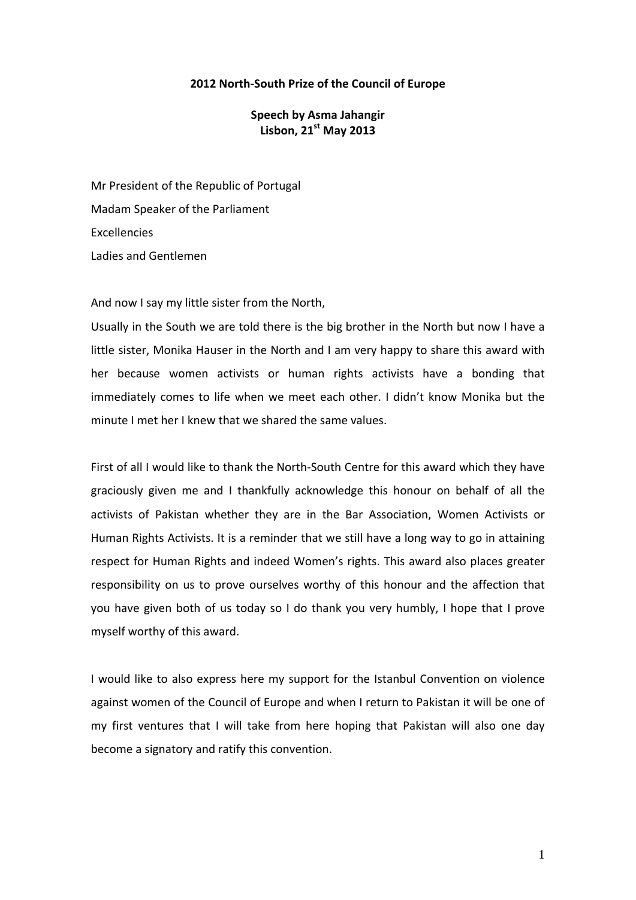## **2012 North‐South Prize of the Council of Europe**

## **Speech by Asma Jahangir Lisbon, 21st May 2013**

Mr President of the Republic of Portugal Madam Speaker of the Parliament **Excellencies** Ladies and Gentlemen

And now I say my little sister from the North,

Usually in the South we are told there is the big brother in the North but now I have a little sister, Monika Hauser in the North and I am very happy to share this award with her because women activists or human rights activists have a bonding that immediately comes to life when we meet each other. I didn't know Monika but the minute I met her I knew that we shared the same values.

First of all I would like to thank the North-South Centre for this award which they have graciously given me and I thankfully acknowledge this honour on behalf of all the activists of Pakistan whether they are in the Bar Association, Women Activists or Human Rights Activists. It is a reminder that we still have a long way to go in attaining respect for Human Rights and indeed Women's rights. This award also places greater responsibility on us to prove ourselves worthy of this honour and the affection that you have given both of us today so I do thank you very humbly, I hope that I prove myself worthy of this award.

I would like to also express here my support for the Istanbul Convention on violence against women of the Council of Europe and when I return to Pakistan it will be one of my first ventures that I will take from here hoping that Pakistan will also one day become a signatory and ratify this convention.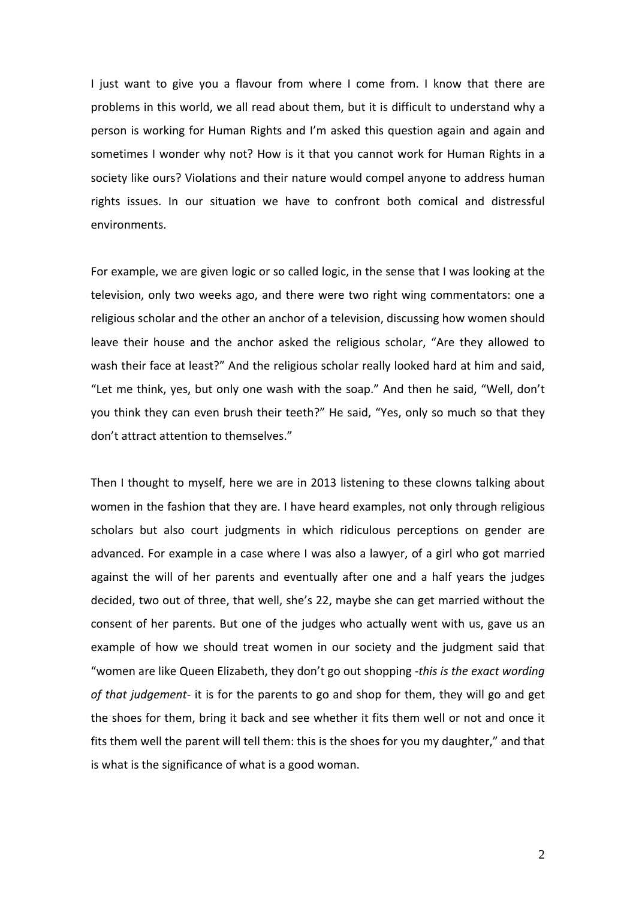I just want to give you a flavour from where I come from. I know that there are problems in this world, we all read about them, but it is difficult to understand why a person is working for Human Rights and I'm asked this question again and again and sometimes I wonder why not? How is it that you cannot work for Human Rights in a society like ours? Violations and their nature would compel anyone to address human rights issues. In our situation we have to confront both comical and distressful environments.

For example, we are given logic or so called logic, in the sense that I was looking at the television, only two weeks ago, and there were two right wing commentators: one a religious scholar and the other an anchor of a television, discussing how women should leave their house and the anchor asked the religious scholar, "Are they allowed to wash their face at least?" And the religious scholar really looked hard at him and said, "Let me think, yes, but only one wash with the soap." And then he said, "Well, don't you think they can even brush their teeth?" He said, "Yes, only so much so that they don't attract attention to themselves."

Then I thought to myself, here we are in 2013 listening to these clowns talking about women in the fashion that they are. I have heard examples, not only through religious scholars but also court judgments in which ridiculous perceptions on gender are advanced. For example in a case where I was also a lawyer, of a girl who got married against the will of her parents and eventually after one and a half years the judges decided, two out of three, that well, she's 22, maybe she can get married without the consent of her parents. But one of the judges who actually went with us, gave us an example of how we should treat women in our society and the judgment said that "women are like Queen Elizabeth, they don't go out shopping *‐this is the exact wording of that judgement‐* it is for the parents to go and shop for them, they will go and get the shoes for them, bring it back and see whether it fits them well or not and once it fits them well the parent will tell them: this is the shoes for you my daughter," and that is what is the significance of what is a good woman.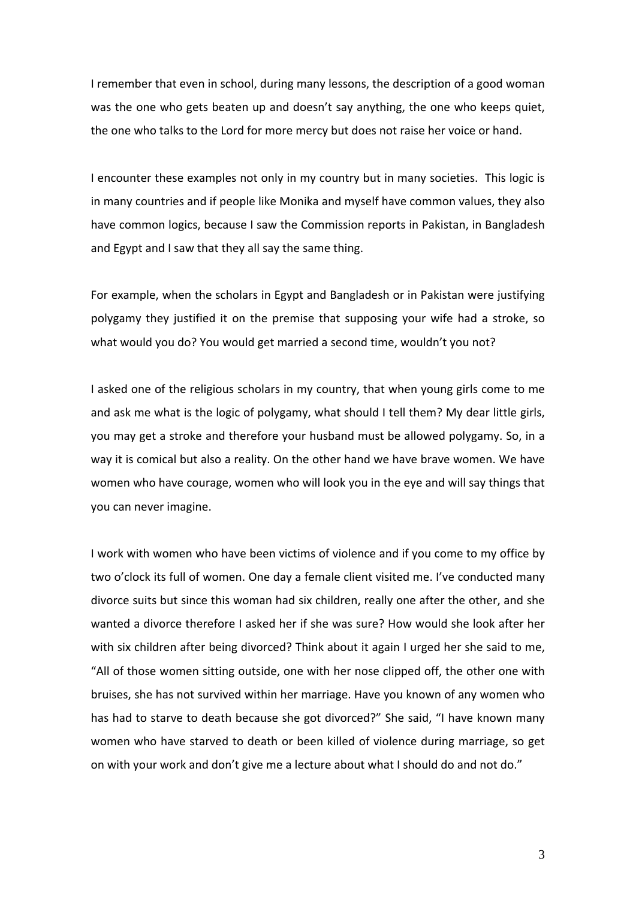I remember that even in school, during many lessons, the description of a good woman was the one who gets beaten up and doesn't say anything, the one who keeps quiet, the one who talks to the Lord for more mercy but does not raise her voice or hand.

I encounter these examples not only in my country but in many societies. This logic is in many countries and if people like Monika and myself have common values, they also have common logics, because I saw the Commission reports in Pakistan, in Bangladesh and Egypt and I saw that they all say the same thing.

For example, when the scholars in Egypt and Bangladesh or in Pakistan were justifying polygamy they justified it on the premise that supposing your wife had a stroke, so what would you do? You would get married a second time, wouldn't you not?

I asked one of the religious scholars in my country, that when young girls come to me and ask me what is the logic of polygamy, what should I tell them? My dear little girls, you may get a stroke and therefore your husband must be allowed polygamy. So, in a way it is comical but also a reality. On the other hand we have brave women. We have women who have courage, women who will look you in the eye and will say things that you can never imagine.

I work with women who have been victims of violence and if you come to my office by two o'clock its full of women. One day a female client visited me. I've conducted many divorce suits but since this woman had six children, really one after the other, and she wanted a divorce therefore I asked her if she was sure? How would she look after her with six children after being divorced? Think about it again I urged her she said to me, "All of those women sitting outside, one with her nose clipped off, the other one with bruises, she has not survived within her marriage. Have you known of any women who has had to starve to death because she got divorced?" She said, "I have known many women who have starved to death or been killed of violence during marriage, so get on with your work and don't give me a lecture about what I should do and not do."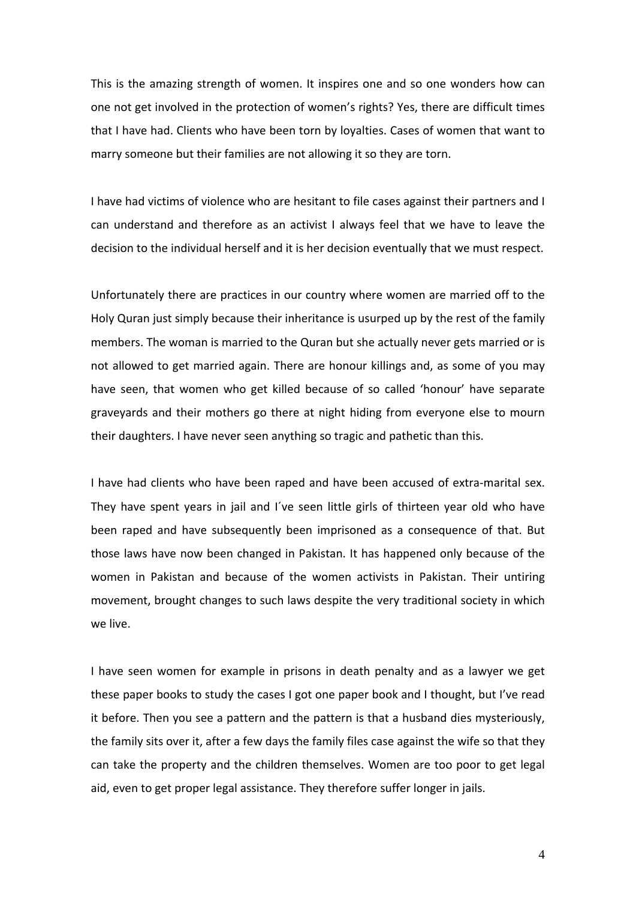This is the amazing strength of women. It inspires one and so one wonders how can one not get involved in the protection of women's rights? Yes, there are difficult times that I have had. Clients who have been torn by loyalties. Cases of women that want to marry someone but their families are not allowing it so they are torn.

I have had victims of violence who are hesitant to file cases against their partners and I can understand and therefore as an activist I always feel that we have to leave the decision to the individual herself and it is her decision eventually that we must respect.

Unfortunately there are practices in our country where women are married off to the Holy Quran just simply because their inheritance is usurped up by the rest of the family members. The woman is married to the Quran but she actually never gets married or is not allowed to get married again. There are honour killings and, as some of you may have seen, that women who get killed because of so called 'honour' have separate graveyards and their mothers go there at night hiding from everyone else to mourn their daughters. I have never seen anything so tragic and pathetic than this.

I have had clients who have been raped and have been accused of extra-marital sex. They have spent years in jail and I´ve seen little girls of thirteen year old who have been raped and have subsequently been imprisoned as a consequence of that. But those laws have now been changed in Pakistan. It has happened only because of the women in Pakistan and because of the women activists in Pakistan. Their untiring movement, brought changes to such laws despite the very traditional society in which we live.

I have seen women for example in prisons in death penalty and as a lawyer we get these paper books to study the cases I got one paper book and I thought, but I've read it before. Then you see a pattern and the pattern is that a husband dies mysteriously, the family sits over it, after a few days the family files case against the wife so that they can take the property and the children themselves. Women are too poor to get legal aid, even to get proper legal assistance. They therefore suffer longer in jails.

4